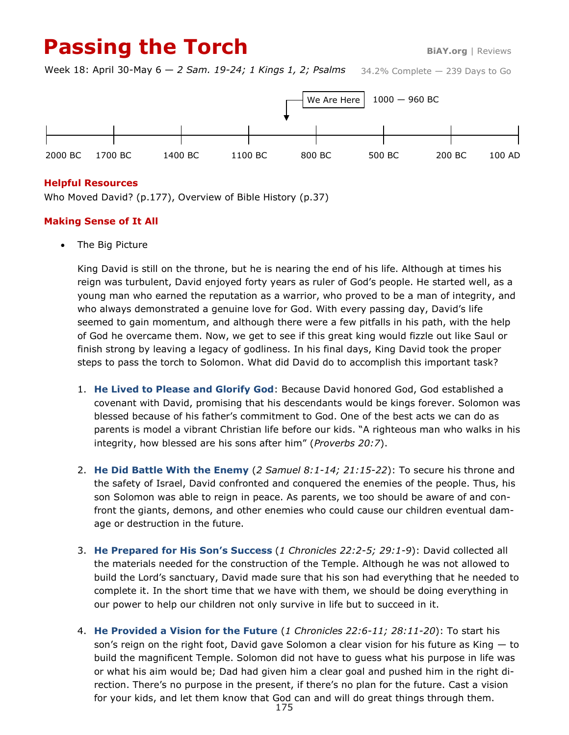# **Passing the Torch BiAY.org** | Reviews

34.2% Complete — 239 Days to Go Week 18: April 30-May 6 — *2 Sam. 19-24; 1 Kings 1, 2; Psalms*



#### **Helpful Resources**

Who Moved David? (p.177), Overview of Bible History (p.37)

### **Making Sense of It All**

• The Big Picture

King David is still on the throne, but he is nearing the end of his life. Although at times his reign was turbulent, David enjoyed forty years as ruler of God's people. He started well, as a young man who earned the reputation as a warrior, who proved to be a man of integrity, and who always demonstrated a genuine love for God. With every passing day, David's life seemed to gain momentum, and although there were a few pitfalls in his path, with the help of God he overcame them. Now, we get to see if this great king would fizzle out like Saul or finish strong by leaving a legacy of godliness. In his final days, King David took the proper steps to pass the torch to Solomon. What did David do to accomplish this important task?

- 1. **He Lived to Please and Glorify God**: Because David honored God, God established a covenant with David, promising that his descendants would be kings forever. Solomon was blessed because of his father's commitment to God. One of the best acts we can do as parents is model a vibrant Christian life before our kids. "A righteous man who walks in his integrity, how blessed are his sons after him" (*Proverbs 20:7*).
- 2. **He Did Battle With the Enemy** (*2 Samuel 8:1-14; 21:15-22*): To secure his throne and the safety of Israel, David confronted and conquered the enemies of the people. Thus, his son Solomon was able to reign in peace. As parents, we too should be aware of and confront the giants, demons, and other enemies who could cause our children eventual damage or destruction in the future.
- 3. **He Prepared for His Son's Success** (*1 Chronicles 22:2-5; 29:1-9*): David collected all the materials needed for the construction of the Temple. Although he was not allowed to build the Lord's sanctuary, David made sure that his son had everything that he needed to complete it. In the short time that we have with them, we should be doing everything in our power to help our children not only survive in life but to succeed in it.
- 4. **He Provided a Vision for the Future** (*1 Chronicles 22:6-11; 28:11-20*): To start his son's reign on the right foot, David gave Solomon a clear vision for his future as King — to build the magnificent Temple. Solomon did not have to guess what his purpose in life was or what his aim would be; Dad had given him a clear goal and pushed him in the right direction. There's no purpose in the present, if there's no plan for the future. Cast a vision for your kids, and let them know that God can and will do great things through them.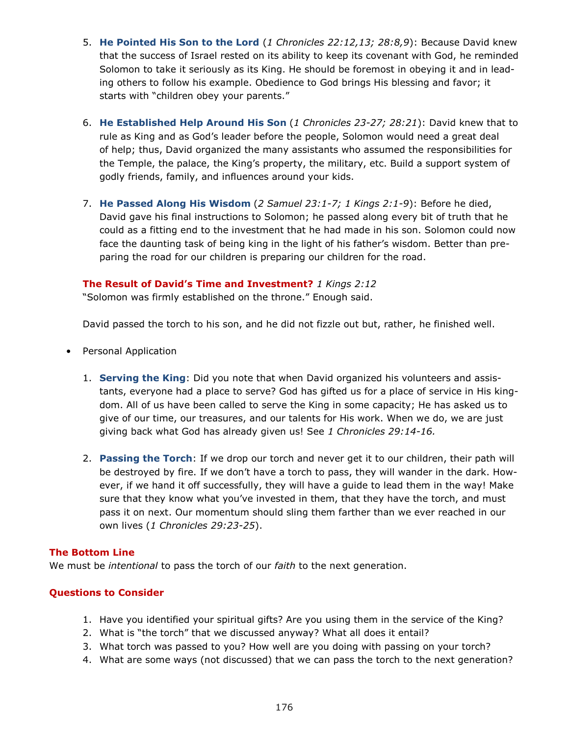- 5. **He Pointed His Son to the Lord** (*1 Chronicles 22:12,13; 28:8,9*): Because David knew that the success of Israel rested on its ability to keep its covenant with God, he reminded Solomon to take it seriously as its King. He should be foremost in obeying it and in leading others to follow his example. Obedience to God brings His blessing and favor; it starts with "children obey your parents."
- 6. **He Established Help Around His Son** (*1 Chronicles 23-27; 28:21*): David knew that to rule as King and as God's leader before the people, Solomon would need a great deal of help; thus, David organized the many assistants who assumed the responsibilities for the Temple, the palace, the King's property, the military, etc. Build a support system of godly friends, family, and influences around your kids.
- 7. **He Passed Along His Wisdom** (*2 Samuel 23:1-7; 1 Kings 2:1-9*): Before he died, David gave his final instructions to Solomon; he passed along every bit of truth that he could as a fitting end to the investment that he had made in his son. Solomon could now face the daunting task of being king in the light of his father's wisdom. Better than preparing the road for our children is preparing our children for the road.

### **The Result of David's Time and Investment?** *1 Kings 2:12*

"Solomon was firmly established on the throne." Enough said.

David passed the torch to his son, and he did not fizzle out but, rather, he finished well.

- Personal Application
	- 1. **Serving the King**: Did you note that when David organized his volunteers and assistants, everyone had a place to serve? God has gifted us for a place of service in His kingdom. All of us have been called to serve the King in some capacity; He has asked us to give of our time, our treasures, and our talents for His work. When we do, we are just giving back what God has already given us! See *1 Chronicles 29:14-16.*
	- 2. **Passing the Torch**: If we drop our torch and never get it to our children, their path will be destroyed by fire. If we don't have a torch to pass, they will wander in the dark. However, if we hand it off successfully, they will have a guide to lead them in the way! Make sure that they know what you've invested in them, that they have the torch, and must pass it on next. Our momentum should sling them farther than we ever reached in our own lives (*1 Chronicles 29:23-25*).

#### **The Bottom Line**

We must be *intentional* to pass the torch of our *faith* to the next generation.

## **Questions to Consider**

- 1. Have you identified your spiritual gifts? Are you using them in the service of the King?
- 2. What is "the torch" that we discussed anyway? What all does it entail?
- 3. What torch was passed to you? How well are you doing with passing on your torch?
- 4. What are some ways (not discussed) that we can pass the torch to the next generation?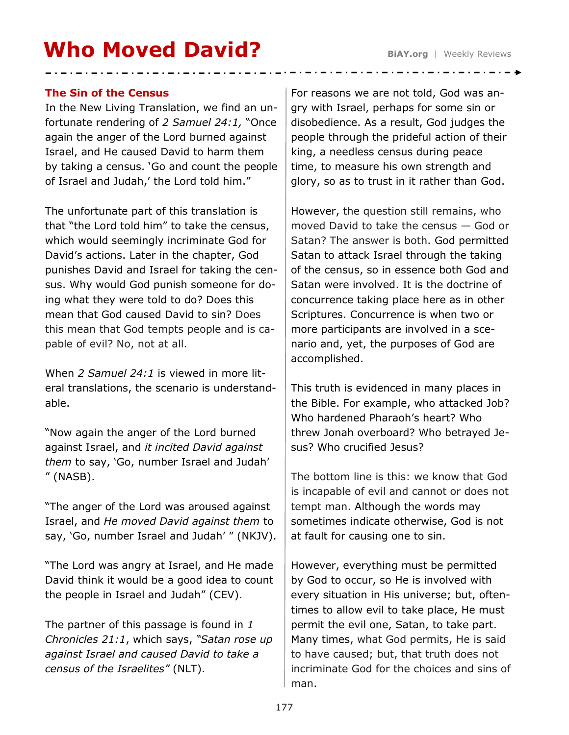# **Who Moved David?** BiAY.org | Weekly Reviews

# **The Sin of the Census**

In the New Living Translation, we find an unfortunate rendering of *2 Samuel 24:1,* "Once again the anger of the Lord burned against Israel, and He caused David to harm them by taking a census. 'Go and count the people of Israel and Judah,' the Lord told him."

The unfortunate part of this translation is that "the Lord told him" to take the census, which would seemingly incriminate God for David's actions. Later in the chapter, God punishes David and Israel for taking the census. Why would God punish someone for doing what they were told to do? Does this mean that God caused David to sin? Does this mean that God tempts people and is capable of evil? No, not at all.

When *2 Samuel 24:1* is viewed in more literal translations, the scenario is understandable.

"Now again the anger of the Lord burned against Israel, and *it incited David against them* to say, 'Go, number Israel and Judah' " (NASB).

"The anger of the Lord was aroused against Israel, and *He moved David against them* to say, 'Go, number Israel and Judah' " (NKJV).

"The Lord was angry at Israel, and He made David think it would be a good idea to count the people in Israel and Judah" (CEV).

The partner of this passage is found in *1 Chronicles 21:1*, which says, *"Satan rose up against Israel and caused David to take a census of the Israelites"* (NLT).

For reasons we are not told, God was angry with Israel, perhaps for some sin or disobedience. As a result, God judges the people through the prideful action of their king, a needless census during peace time, to measure his own strength and glory, so as to trust in it rather than God.

However, the question still remains, who moved David to take the census — God or Satan? The answer is both. God permitted Satan to attack Israel through the taking of the census, so in essence both God and Satan were involved. It is the doctrine of concurrence taking place here as in other Scriptures. Concurrence is when two or more participants are involved in a scenario and, yet, the purposes of God are accomplished.

This truth is evidenced in many places in the Bible. For example, who attacked Job? Who hardened Pharaoh's heart? Who threw Jonah overboard? Who betrayed Jesus? Who crucified Jesus?

The bottom line is this: we know that God is incapable of evil and cannot or does not tempt man. Although the words may sometimes indicate otherwise, God is not at fault for causing one to sin.

However, everything must be permitted by God to occur, so He is involved with every situation in His universe; but, oftentimes to allow evil to take place, He must permit the evil one, Satan, to take part. Many times, what God permits, He is said to have caused; but, that truth does not incriminate God for the choices and sins of man.